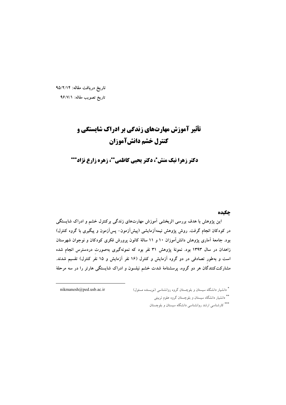تاریخ دریافت مقاله: ۹۵/۲/۱۴ تاريخ تصويب مقاله: ٩۶/٧/١

# **تأثیر آموزش مهارتهای زندگی بر ادراک شایستگی و** كنترل خشم دانشآموزان

دکتر زهرا نیک منش\*، دکتر یحیی کاظمی\*\*، زهره زارع نژاد\*\*\*

### حكىدە

این پژوهش با هدف بررسی اثربخشی آموزش مهارتهای زندگی برکنترل خشم و ادراک شایستگی در کودکان انجام گرفت. روش پژوهش نیمهآزمایشی (پیشآزمون– پسآزمون و پیگیری با گروه کنترل) بود. جامعهٔ آماری پژوهش دانش[موزان ۱۰ و ۱۱ سالهٔ کانون پرورش فکری کودکان و نوجوان شهرستان زاهدان در سال ۱۳۹۳ بود. نمونهٔ پژوهش ۳۱ نفر بود که نمونهگیری بهصورت دردسترس انجام شده است و بهطور تصادفی در دو گروه آزمایش و کنترل (۱۶ نفر آزمایش و ۱۵ نفر کنترل) تقسیم شدند. مشارکتکنندگان هر دو گروه، پرسشنامهٔ شدت خشم نیلسون و ادراک شایستگی هارتر را در سه مرحلهٔ

nikmanesh@ped.usb.ac.ir

\* دانشیار دانشگاه سیستان و بلوچستان گروه روانشناسی (نویسنده مسئول) \*\* دانشیار دانشگاه سیستان و بلوچستان گروه علوم تربیتی \*\*\* کارشناسی ارشد روانشناسی دانشگاه سیستان و بلوچستان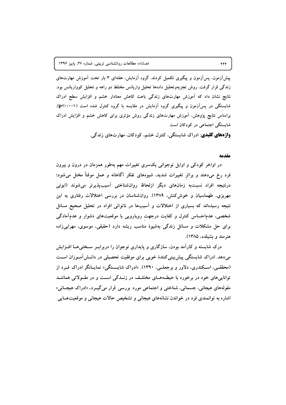پیشآزمون، پسآزمون و پیگیری تکمیل کردند. گروه آزمایش، هفتهای ۳ بار تحت آموزش مهارتهای زندگی قرار گرفت. روش تجزیهوتحلیل دادهها تحلیل واریانس مختلط دو راهه و تحلیل کوواریانس بود. نتایج نشان داد که آموزش مهارتهای زندگی باعث کاهش معنادار خشم و افزایش سطح ادراک شایستگی در پس آزمون و پیگیری گروه آزمایش در مقایسه با گروه کنترل شده است (p<۰/۰۰۱). براساس نتایج پژوهش، آموزش مهارتهای زندگی روش مؤثری برای کاهش خشم و افزایش ادراک شاپستگی اجتماعی در کودکان است

**واژههای کلیدی**: ادراک شایستگی، کنترل خشم، کودکان، مهارتهای زندگی.

#### مقدمه

در اواخر کودکی و اوایل نوجوانی یکسری تغییرات مهم بهطور همزمان در درون و بیرون فرد رخ میدهند و براثر تغییرات شدید، شیوههای تفکر آگاهانه و عمل موقتاً مختل میشود؛ درنتیجه افراد نسبتبه زمانهای دیگر ازلحاظ روانشناختی آسیبپذیرتر میشوند (ابوئی مهریزی، طهماسیان و خوش کنش، ۱۳۸۹). روانشناسان در بررسی اختلالات رفتاری به این نتیجه رسیدهاند که بسیاری از اختلالات و آسیبها در ناتوانی افراد در تحلیل صحیح مسائل شخصی، عدماحساس کنترل و کفایت درجهت رویارویی با موقعیتهای دشوار و عدمآمادگی برای حل مشکلات و مسائل زندگی بهشیوهٔ مناسب ریشه دارد (حقیقی، موسوی، مهرابیزاده هنرمند و بشیلده، ۱۳۸۵).

درک شایسته و کارآمد بودن، سازگاری و پایداری نوجوان را دربرابـر سـختی۵هـا افــزایش میدهد. ادراک شایستگی پیشبینی کنندهٔ خوبی برای موفقیت تحصیلی در دانــش آمــوزان اســت (محققــی، اســکندری، دلاور و برجعلــی، ۱۳۹۰). «ادراک شایــستگی» نمایــانگر ادراک فــرد از تواناییهای خود در برخورد با حیطـههـای مختلـف در زنــدگی اســت و در مقــولاتی هماننــد مقولههای هیجانی، جسمانی، شناختی و اجتماعی مورد بررسی قرار میگیــرد. «ادراک هیجــانی» اشاره به توانمندی فرد در خواندن نشانههای هیجانی و تشخیص حالات هیجانی و موقعیتهـایی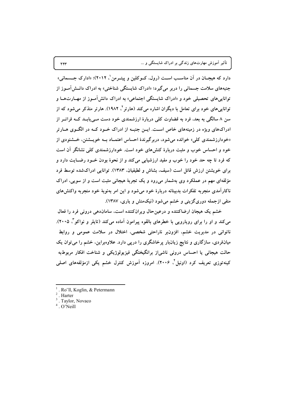دارد که هیجــان در آن مناســب اســت (رول، کــوکلین و پیتــرمن \ ۲۰۱۲)؛ «ادارک جــسمانی» جنبههای سلامت جسمانی را دربر میگیرد؛ «ادراک شایستگی شناختی» به ادراک دانــش آمــوز از تواناییهای تحصیلی خود و «ادراک شایستگی اجتماعی» به ادراک دانشآمـوز از مهــارتهــا و توانایی های خود برای تعامل با دیگران اشاره می کند (هارتر <sup>۲</sup>، ۱۹۸۲). هارتر متذکر می شود که از سن ۸ سالگی به بعد، فرد به قضاوت کلی دربارهٔ ارزشمندی خود دست مــی بابــد کــه فراتــر از ادراکهای ویژه در زمینههای خاص است. ایــن جنبــه از ادراک خــود کــه در الگــوی هــارتر «خودارزشمندی کلی» خوانده می شود، دربرگیرندهٔ احساس اعتمــاد بــه خویــشتن، خــشنودی از خود و احساس خوب و مثبت دربارهٔ کنشهای خود است. خودارزشمندی کلی نشانگر آن است که فرد تا چه حد خود را خوب و مفید ارزشیابی میکند و از نحوهٔ بودن خـود رضـایت دارد و برای خویشتن ارزش قائل است (سیف، بشاش و لطیفیان، ۱۳۸۳). توانایی ادراکشده توسط فرد مؤلفهای مهم در عملکرد وی بهشمار میرود و یک تجربهٔ هیجانی مثبت است و از سویی، ادراک ناکارآمدی منجربه تفکرات بدبینانه دربارهٔ خود می شود و این امر بهنوبهٔ خود منجربه واکنشهای منفی ازجمله دوریگزینی و خشم میشود (نیکمنش و یاری، ۱۳۸۷).

خشم یک هیجان ارضاکننده و درعین حال ویرانکننده است، ساماندهی درونی فرد را فعال میکند و او را برای رویارویی با خطرهای بالقوه پیرامون آماده میکند (تایلر و نواکو ً، ۲۰۰۵). ناتوانی در مدیریت خشم، افزونبر ناراحتی شخصی، اختلال در سلامت عمومی و روابط میانفردی، سازگاری و نتایج زیانبار پرخاشگری را درپی دارد. علاوهبراین، خشم را می توان یک حالت هیجانی یا احساس درونی ناشی|ز برانگیختگی فیزیولوژیکی و شناخت افکار مربوطبه کینهتوزی تعریف کرد (اونیل ٔ ۲۰۰۶). امروزه آموزش کنترل خشم یکی ازمؤلفههای اصلی

. Harter

 $4.0$ 'Neill

 $\gamma \gamma \gamma$ 

<sup>.</sup> Ro"ll, Koglin, & Petermann

<sup>.</sup> Taylor, Novaco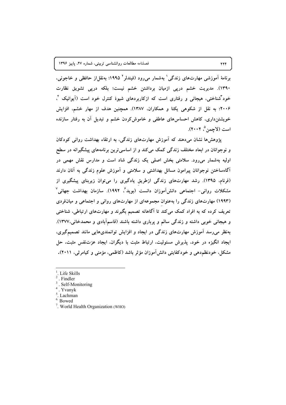برنامهٔ آموزشی مهارتهای زندگی ٰ بهشمار میرود (فیندلر ' ۱۹۹۵؛ بهنقل!ز حافظی و خاجونی، ۱۳۹۰). مدیریت خشم درپی ازمیان برداشتن خشم نیست؛ بلکه درپی تشویق نظارت خود<sup>"</sup>شناختی، هیجانی و رفتاری است که ازکاربردهای شیوهٔ کنترل خود است (آیوانیک <sup>۴</sup>، ۲۰۰۶؛ به نقل از شکوهی یکتا و همکاران، ۱۳۸۷). همچنین هدف از مهار خشم، افزایش خویشتنداری، کاهش احساسهای عاطفی و خاموش کردن خشم و تبدیل آن به رفتار سازنده است (لاجمن °، ۲۰۰۲).

پژوهش ها نشان می دهند که آموزش مهارتهای زندگی، به ارتقاء بهداشت روانی کودکان و نوجوانان در ابعاد مختلف زندگی کمک میکند و از اساسی ترین برنامههای پیشگیرانه در سطح اولیه بهشمار میرود. سلامتی بخش اصلی یک زندگی شاد است و مدارس نقش مهمی در آگاهساختن نوجوانان پیرامون مسائل بهداشتی و سلامتی و آموزش علوم زندگی به آنان دارند (فرنام، ۱۳۹۵). رشد مهارتهای زندگی ازطریق یادگیری را می توان زیربنای پیشگیری از مشکلات روانی– اجتماعی دانش[موزان دانست (بوید ٔ، ۱۹۹۲). سازمان بهداشت جهانی ٔ (۱۹۹۳) مهارتهای زندگی را بهعنوان مجموعهای از مهارتهای روانی و اجتماعی و میانفردی تعریف کرده که به افراد کمک میکند تا آگاهانه تصمیم بگیرند و مهارتهای ارتباطی، شناختی و هیجانی خوبی داشته و زندگی سالم و پرباری داشته باشند (قاسمآبادی و محمدخانی،۱۳۷۷). بهنظر می رسد آموزش مهارتهای زندگی در ایجاد و افزایش توانمندیهایی مانند تصمیمگیری، ایجاد انگیزه در خود، پذیرش مسئولیت، ارتباط مثبت با دیگران، ایجاد عزتنفس مثبت، حل مشکل، خودنظم‹هی و خودکفایتی دانشآموزان مؤثر باشد (کاظمی، مؤمنی و کیامرثی، ۲۰۱۱).

- Life Skills
- . Findler
- Self-Monitoring
- Yvanyk
- <sup>5</sup>. Lachman
- <sup>6.</sup> Bowed
- <sup>7</sup>. World Health Organization (WHO)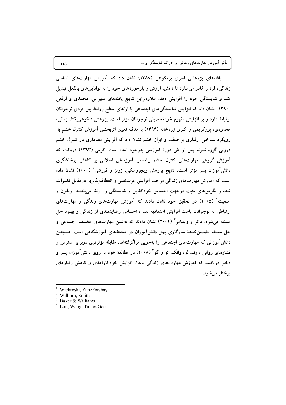تأثیر آموزش مهارتهای زندگی بر ادراک شایستگی و …

یافتههای پژوهشی امیری برمکوهی (۱۳۸۸) نشان داد که آموزش مهارتهای اساسی زندگی، فرد را قادر میسازد تا دانش، ارزش و بازخوردهای خود را به توانایی های بالفعل تبدیل کند و شایستگی خود را افزایش دهد. علاوهبراین نتایج یافتههای سهرابی، محمدی و ارفعی (۱۳۹۰) نشان داد که افزایش شایستگیهای اجتماعی با ارتقای سطح روابط بین فردی نوجوانان ارتباط دارد و بر افزایش مفهوم خودتحصیلی نوجوانان مؤثر است. یژوهش شکوهی یکتا، زمانی، محمودی، یورکریمی و اکبری زردخانه (۱۳۹۳) با هدف تعیین اثربخشی آموزش کنترل خشم با رویکرد شناختی-رفتاری بر صفت و ابراز خشم نشان داد که افزایش معناداری در کنترل خشم درونی گروه نمونه پس از طی دورهٔ آموزشی بهوجود آمده است. کرمی (۱۳۹۳) دریافت که آموزش گروهی مهارتهای کنترل خشم براساس آموزههای اسلامی بر کاهش پرخاشگری دانش[موزان پسر مؤثر است. نتایج پژوهش ویچروسکی، زونز و فورشی ( ۲۰۰۰) نشان داده است که آموزش مهارتهای زندگی موجب افزایش عزتنفس و انعطاف پذیری درمقابل تغییرات شده و نگرشهای مثبت درجهت احساس خودکفایی و شایستگی را ارتقا میبخشد. ویلبرن و اسمیت<sup>۲</sup> (۲۰۰۵) در تحقیق خود نشان دادند که آموزش مهارتهای زندگی و مهارتهای ارتباطی به نوجوانان باعث افزایش اعتمادبه نفس، احساس رضایتمندی از زندگی و بهبود حل مسئله میشود. باکر و ویلیامز<sup>۳</sup> (۲۰۰۲) نشان دادند که داشتن مهارتهای مختلف اجتماعی و حل مسئله تضمین کنندهٔ سازگاری بهتر دانش آموزان در محیطهای آموزشگاهی است. همچنین دانشآموزانی که مهارتهای اجتماعی را بهخوبی فراگرفتهاند، مقابلهٔ مؤثرتری دربرابر استرس و فشارهای روانی دارند. لو، وانگ، تو و گو<sup>۴</sup> (۲۰۰۸) در مطالعهٔ خود بر روی دانش آموزان پسر و دختر دریافتند که آموزش مهارتهای زندگی باعث افزایش خودکارآمدی و کاهش رفتارهای پرخطر مي شود.

770

Wichroski, ZunzForshay

Wilburn, Smith

 $3.$  Baker & Williams

<sup>&</sup>lt;sup>4</sup>. Lou, Wang, Tu., & Gao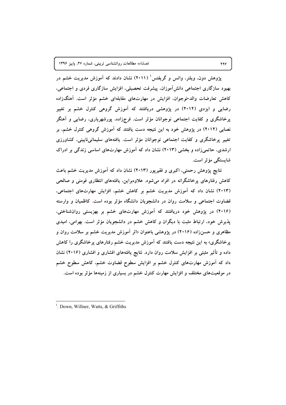پژوهش دون، ویلنر، واتس و گریفتس ٔ (۲۰۱۱) نشان دادند که آموزش مدیریت خشم در بهبود سازگاری اجتماعی دانش آموزان. پیشرفت تحصیلی، افزایش سازگاری فردی و اجتماعی، کاهش تعارضات والد-نوجوان، افزایش در مهارتهای مقابلهای خشم مؤثر است. آهنگزاده رضایی و ایزدی (۲۰۱۲) در پژوهشی دریافتند که آموزش گروهی کنترل خشم بر تغییر پرخاشگری و کفایت اجتماعی نوجوانان مؤثر است. فرجزاده، پورشهرپاری، رضایی و آهنگر نصابی (۲۰۱۲) در پژوهش خود به این نتیجه دست یافتند که آموزش گروهی کنترل خشم، بر تغییر پرخاشگری و کفایت اجتماعی نوجوانان مؤثر است. یافتههای سلیمانی،نایینی، کشاورزی ارشدی، حاتمی زاده و بخشی (۲۰۱۳) نشان داد که آموزش مهارتهای اساسی زندگی بر ادراک شايستگى مؤثر است.

نتایج پژوهش رحمتی، اکبری و فقیرپور (۲۰۱۳) نشان داد که آموزش مدیریت خشم باعث کاهش رفتارهای پرخاشگرانه در افراد میشود. علاوهبراین، یافتههای انتظاری فومنی و صالحی (۲۰۱۳) نشان داد که آموزش مدیریت خشم بر کاهش خشم، افزایش مهارتهای اجتماعی، قضاوت اجتماعی و سلامت روان در دانشجویان دانشگاه مؤثر بوده است. کاظمیان و وارسته (۲۰۱۶) در پژوهش خود دریافتند که آموزش مهارتهای خشم بر بهزیستی روانشناختی، پذیرش خود، ارتباط مثبت با دیگران و کاهش خشم در دانشجویان مؤثر است. بهرامی، امیدی مظاهری و حسنزاده (۲۰۱۶) در پژوهشی باعنوان «اثر اَموزش مدیریت خشم بر سلامت روان و پرخاشگری» به این نتیجه دست یافتند که آموزش مدیریت خشم رفتارهای پرخاشگری را کاهش داده و تأثیر مثبتی بر افزایش سلامت روان دارد. نتایج یافتههای افشاری و افشاری (۲۰۱۶) نشان داد که آموزش مهارتهای کنترل خشم بر افزایش سطوح قضاوت خشم، کاهش سطوح خشم در موقعیتهای مختلف و افزایش مهارت کنترل خشم در بسیاری از زمینهها مؤثر بوده است.

776

<sup>&</sup>lt;sup>1</sup>. Down, Willner, Watts,  $&$  Griffiths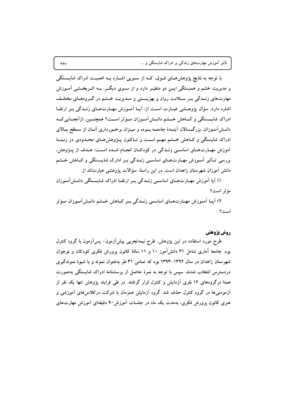تأثیر آموزش مهارتهای زندگی بر ادراک شایستگی و …

با توجه به نتایج پژوهشهـای فــوق، کــه از ســویی اشــاره بــه اهمیــت ادراک شایـــستگی و مدیریت خشم و همبستگی ایــن دو متغیّــر دارد و از ســوی دیگــر، بــه اثــربخــشی آمــوزش مهارتهای زنــدگی بــر ســلامت روان و بهزیـــستی و مــدیریت خـــشم در گــروههــای مختلــف اشاره دارد، سؤال پژوهـشي عبــارت اســت از: آيــا آمــوزش مهــارتهــاي زنــدگي بــر ارتقــا ادراک شایسستگی و کـاهش خــشم دانــش آمــوزان مــؤثر اســت؟ همچنــین، ازآنجــایی کــه دانــشآمـوزان، بزرگـــسالان آینــدهٔ جامعــه بــوده و میــزان برخــورداری آنــان از ســطح بــالای ادراک شایستگی و کـاهش خــشم مهــم اســت و تــاکنون پــژوهش۵حـای محــدودی در زمینــهٔ آموزش مهـارتهـای اساسـی زنـدگی در کودکـان انجـام شـده اسـت؛ هـدف از پــژوهش، بررسی تـأثیر آمـوزش مهـارتهـای اساسـی زنـدگی بـر ادارک شایـستگی و کــاهش خــشم دانش آموزان شهرستان زاهدان است. در این راستا، سؤالات پژوهشی عبارتاند از:

١) آیا آموزش مهـارتهـای اساسـی زنـدگی بـر ارتقـا ادراک شایـستگی دانـش[مـوزان مؤثر است؟

۲) آیــا آمــوزش مهــارتهــای اساســی زنــدگی بــر کــاهش خــشم دانــشآمــوزان مــؤثر است؟

## روش يژوهش

طرح مورد استفاده در این پژوهش، طرح نیمهتجربی پیشآزمون– پسآزمون با گروه کنترل بود. جامعهٔ آماری شامل ۳۱ دانش آموز ۱۰ و ۱۱ سالهٔ کانون پرورش فکری کودکان و نوجوان شهرستان زاهدان در سال ۱۳۹۴–۱۳۹۳ بود که تمامی ۳۱ نفر بهعنوان نمونه و با شیوهٔ نمونهگیری دردسترس انتخاب شدند. سپس با توجه به نمرهٔ حاصل از پرسشنامهٔ ادراک شایستگی بهصورت همتا درگروههای ۱۶ نفری آزمایش و کنترل قرار گرفتند. در طی فرایند پژوهش تنها یک نفر از آزمودنی ها در گروه کنترل حذف شد. گروه آزمایش همزمان با شرکت درکلاس های آموزشی و هنری کانون پرورش فکری، بهمدت یک ماه در جلسات آموزش۹۰ دقیقهای آموزش مهارتهای

 $\gamma \gamma \gamma$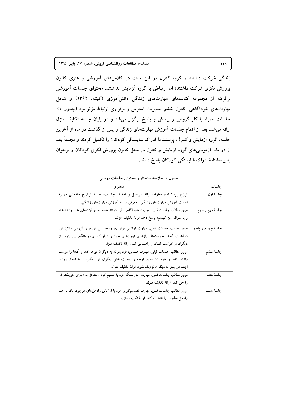زندگی شرکت داشتند و گروه کنترل در این مدت در کلاسهای آموزشی و هنری کانون پرورش فکری شرکت داشتند؛ اما ارتباطی با گروه آزمایش نداشتند. محتوای جلسات آموزشی برگرفته از مجموعه کتابهای مهارتهای زندگی دانشآموزی (کینته، ۱۳۹۲) و شامل مهارتهای خودآگاهی، کنترل خشم، مدیریت استرس و برقراری ارتباط مؤثر بود (جدول ۱). جلسات همراه با کار گروهی و پرسش و پاسخ برگزار میشد و در پایان جلسه تکلیف منزل ارائه میشد. بعد از اتمام جلسات آموزش مهارتهای زندگی و پس از گذشت دو ماه از آخرین جلسه، گروه آزمایش و کتترل، پرسشنامهٔ ادراک شایستگی کودکان را تکمیل کردند و مجدداً بعد از دو ماه، آزمودنی های گروه آزمایش و کنترل در محل کانون پرورش فکری کودکان و نوجوان به پرسشنامهٔ ادراک شایستگی کودکان پاسخ دادند.

| محتواي                                                                                  | جلسات             |
|-----------------------------------------------------------------------------------------|-------------------|
| توزیع پرسشنامه، معارفه، ارائهٔ سرفصل و اهداف جلسات، جلسهٔ توضیح مقدماتی دربارهٔ         | جلسهٔ اول         |
| اهمیت آموزش مهارتهای زندگی و معرفی برنامهٔ آموزش مهارتهای زندگی.                        |                   |
| مرور مطالب جلسات قبلی، مهارت خودآگاهی: فرد بتواند ضعفها و قوّتهای خود را شناخته         | جلسهٔ دوم و سوم   |
| و به سؤال «من کیستم» پاسخ دهد. ارائهٔ تکلیف منزل.                                       |                   |
| مرور مطالب جلسات قبلی، مهارت توانایی برقراری روابط بین فردی و گروهی مؤثر: فرد           | جلسۀ چهارم و پنجم |
| بتواند دیدگاهها، خواستهها، نیازها و هیجانهای خود را ابراز کند و در هنگام نیاز بتواند از |                   |
| دیگران درخواست کمک و راهنمایی کند. ارائهٔ تکلیف منزل.                                   |                   |
| مرور مطالب جلسات قبلی، مهارت همدلی: فرد بتواند به دیگران توجه کند و آنها را دوست        | جلسة ششم          |
| داشته باشد و خود نیز مورد توجه و دوستداشتن دیگران قرار بگیرد و با ایجاد روابط           |                   |
| اجتماعی بهتر به دیگران نزدیک شود. ارائهٔ تکلیف منزل                                     |                   |
| مرور مطالب جلسات قبلی، مهارت حل مسأله: فرد با تقسیم کردن مشکل به اجزای کوچکتر آن        | جلسة هفتم         |
| را حل كند. ارائهٔ تكلیف منزل.                                                           |                   |
| مرور مطالب جلسات قبلی، مهارت تصمیمگیری: فرد با ارزیابی راهحلهای موجود، یک یا چند        | جلسة هشتم         |
| راهحل مطلوب را انتخاب كند. ارائهٔ تكلیف منزل.                                           |                   |

جدول ۱. خلاصهٔ ساختار و محتوای جلسات درمانی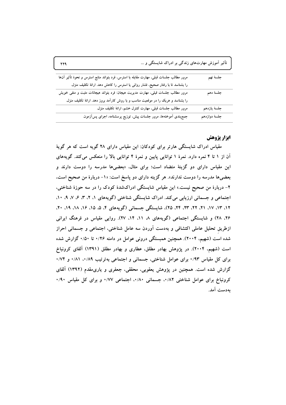| 779                                                                                                                                                               | تأثیر آموزش مهارتهای زندگی بر ادراک شایستگی و …            |                              |
|-------------------------------------------------------------------------------------------------------------------------------------------------------------------|------------------------------------------------------------|------------------------------|
| مرور مطالب جلسات قبلی، مهارت مقابله با استرس، فرد بتواند منابع استرس و نحوهٔ تأثیر آنها                                                                           |                                                            | جلسة نهم                     |
| را بشناسد تا با رفتار صحیح، فشار روانی یا استرس را کاهش دهد. ارائهٔ تکلیف منزل.<br>مرور مطالب جلسات قبلی، مهارت مدیریت هیجان: فرد بتواند هیجانات مثبت و منفی خویش |                                                            | جلسهٔ دهم                    |
| را بشناسد و هریک را در موقعیت مناسب و با روش کارآمد بروز دهد. ارائهٔ تکلیف منزل.                                                                                  |                                                            |                              |
| جمع بندی آموختهها، مرور جلسات پیش، توزیع پرسشنامه، اجرای پس[زمون.                                                                                                 | مرور مطالب جلسات قبلی، مهارت کنترل خشم، ارائهٔ تکلیف منزل. | جلسهٔ یازدهم<br>جلسة دوازدهم |

# ابزار يژوهش

مقیاس ادراک شایستگی هارتر برای کودکان: این مقیاس دارای ۲۸ گویه است که هر گویهٔ آن از ۱ تا ۴ نمره دارد. نمرهٔ ۱ توانایی پایین و نمرهٔ ۴ توانایی بالا را منعکس میکند. گویههای این مقیاس دارای دو گزینهٔ متضاد است؛ برای مثال، «بعضیها مدرسه را دوست دارند و بعضیها مدرسه را دوست ندارند». هر گزینه دارای دو پاسخ است: «١- دربارهٔ من صحیح است، ۲- دربارهٔ من صحیح نیست.» این مقیاس شایستگی ادراکشدهٔ کودک را در سه حوزهٔ شناختی، اجتماعی و جسمانی ارزیابی می کند. ادراک شایستگی شناختی (گویههای ۱، ۲، ۳، ۶، ۷، ۹، ۱۰، ١٢، ١٣، ١٧، ٢١، ٢٢، ٢٣، ٢٥، ٢٥)، شايستگي جسماني (گويههاي ۴، ۵، ١٥، ١۶، ١٨، ٩٩، ٢٠، ۲۶، ۲۸) و شایستگی اجتماعی (گویههای ۸، ۱۱، ۱۴، ۲۷). روایی مقیاس در فرهنگ ایرانی ازطریق تحلیل عاملی اکتشافی و بهدست آوردن سه عامل شناختی، اجتماعی و جسمانی احراز شده است (شهیم، ۲۰۰۴). همچنین همبستگی درونی عوامل در دامنه ۱/۲۶ تا ۰/۵۰ گزارش شده است (شهیم، ۲۰۰۴). در پژوهش بهادر مطلق، عطاری و بهادر مطلق (۱۳۹۱) آلفای کرونباخ برای کل مقیاس ۰/۹۳ برای عوامل شناختی، جسمانی و اجتماعی بهترتیب ۰/۸۹، ۰/۸۱ و ۰/۷۴ گزارش شده است. همچنین در پژوهش یعقوبی، محققی، جعفری و یاری.مقدم (۱۳۹۲) آلفای کرونباخ برای عوامل شناختی ۰/۸۲، جسمانی ۰/۸۰، اجتماعی ۰/۷۷ و برای کل مقیاس ۰/۹۰ بەدست آمد.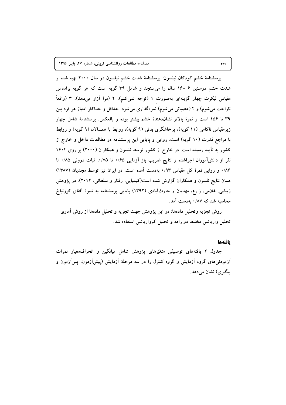پرسشنامهٔ خشم کودکان نیلسون: پرسشنامهٔ شدت خشم نیلسون در سال ۲۰۰۰ تهیه شده و شدت خشم درسنین ۶ -۱۶ سال را میسنجد و شامل ۳۹ گویه است که هر گویه براساس مقیاس لیکرت چهار گزینهای بهصورت ۱ (توجه نمیکنم)، ۲ (مرا آزار میدهد)، ۳ (واقعاً ناراحت میشوم) و ۴ (عصبانی میشوم) نمرهگذاری میشود. حداقل و حداکثر امتیاز هر فرد بین ۳۹ تا ۱۵۶ است و نمرهٔ بالاتر نشاندهندهٔ خشم بیشتر بوده و بالعکس. پرسشنامهٔ شامل چهار زیرمقیاس ناکامی (۱۱ گویه)، پرخاشگری بدنی (۹ گویه)، روابط با همسالان (۹ گویه) و روابط با مراجع قدرت (۱۰ گویه) است. روایی و پایایی این پرسشنامه در مطالعات داخل و خارج از کشور به تأیید رسیده است. در خارج از کشور توسط نلسون و همکاران (۲۰۰۰) بر روی ۱۶۰۴ نفر از دانش آموزان اجراشده و نتایج ضریب باز آزمایی ۰/۶۵ تا ۰/۷۵، ثبات درونی ۰/۸۵ تا ۰/۸۶ و روایی نمرهٔ کل مقیاس ۰/۹۳ بهدست آمده است. در ایران نیز توسط مجدیان (۱۳۸۷) همان نتایج نلسون و همکاران گزارش شده است(کیمیایی، رفتار و سلطانی، ۲۰۱۲). در پژوهش زیبایی، غلامی، زارع، مهدیان و حارثآبادی (۱۳۹۲) پایایی پرسشنامه به شیوهٔ آلفای کرونباخ محاسبه شد که ۰/۸۷ به دست آمد.

روش تجزیه وتحلیل دادهها: در این پژوهش جهت تجزیه و تحلیل دادهها از روش آماری تحلیل واریانس مختلط دو راهه و تحلیل کوواریانس استفاده شد.

#### بافتهها

جدول ۲ یافتههای توصیفی متغیّرهای پژوهش شامل میانگین و انحراف معیار نمرات آزمودنیهای گروه آزمایش و گروه کنترل را در سه مرحلهٔ آزمایش (پیشآزمون، پسآزمون و پيگيري) نشان مي دهد.

 $\mathbf{Y}$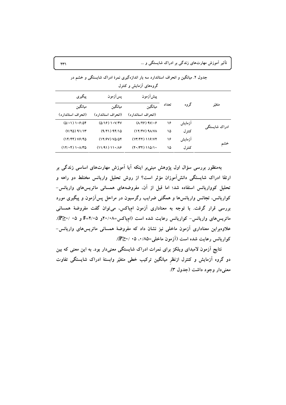تأثیر آموزش مهارتهای زندگی بر ادراک شایستگی و …

|               |        |       |                                            | گروههای آزمایش و کنترل  |                              |  |  |  |  |  |  |
|---------------|--------|-------|--------------------------------------------|-------------------------|------------------------------|--|--|--|--|--|--|
|               |        |       | پیش آزمون                                  | پسآزمون                 | يېگيرى                       |  |  |  |  |  |  |
| متغيّر        | گروه   | تعداد | ميانگين                                    | ميانگين                 | ميانگين                      |  |  |  |  |  |  |
|               |        |       | (انحراف استاندار د)                        | (انحراف استاندار د)     | (انحراف استاندار د)          |  |  |  |  |  |  |
|               | أزمايش | ۱۶    | $(\Lambda/\Upsilon)$ $\Upsilon/\Upsilon$   | (0/19) 1.1/19V          | $(0/\cdot 1)$ $\cdot$ $9/04$ |  |  |  |  |  |  |
| ادراک شایستگی | كنتر ل | ۱۵    | $(17/FV)$ $9A/VA$                          | (9/71) 97/10            | $(Y/Y_0)$ 91/13              |  |  |  |  |  |  |
|               | آزمايش | ۱۶    | (17/97) 119/77                             | $(17/9V)$ $VQ/\Delta Y$ | $(14/44)$ $V$ ۶/40           |  |  |  |  |  |  |
|               | کنتر ل | ۱۵    | $(Y \cdot   YY)$ $\{Y \cdot   Y \cdot Y\}$ | (11/91) 11.769          | (17/19) 1.1/10               |  |  |  |  |  |  |

جدول ۲. میانگین و انحراف استاندارد سه بار اندازهگیری نمرهٔ ادراک شایستگی و خشم در

بهمنظور بررسی سؤال اول پژوهش مبنی بر اینکه آیا آموزش مهارتهای اساسی زندگی بر ارتقا ادراک شایستگی دانشآموزان مؤثر است؟ از روش تحلیل واریانس مختلط دو راهه و تحلیل کوواریانس استفاده شد؛ اما قبل از آن، مفروضههای همسانی ماتریس های واریانس-کواریانس، تجانس واریانسها و همگنی ضرایب رگرسیون در مراحل پسآزمون و پیگیری مورد بررسی قرار گرفت. با توجه به معناداری آزمون امباکس، می توان گفت مفروضهٔ همسانی ماتریسهای واریانس- کواریانس رعایت شده است (امباکس=۲۰/۰۸و F=۲/۰۵ و ۰۵ /<P≥. علاوهبراین معناداری آزمون ماخلی نیز نشان داد که مفروضهٔ همسانی ماتریسهای واریانس-کواریانس رعایت شده است (آزمون ماخلی=۵۸/۰، ۰۵× /۰=P).

نتایج آزمون لامبدای ویلکز برای نمرات ادراک شایستگی معنیدار بود. به این معنی که بین دو گروه آزمایش و کنترل ازنظر میانگین ترکیب خطی متغیّر وابستهٔ ادراک شایستگی تفاوت معني دار وجود داشت (جدول ٣).

 $\mathsf{Y}\mathsf{Y}'$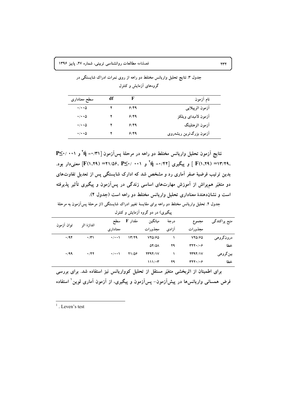| سطح معنادارى              | df | F    | نام آزمون              |
|---------------------------|----|------|------------------------|
| $\cdot/\cdot\cdot \Delta$ |    | 9/49 | أزمون اثرپيلايي        |
| $\cdot/\cdot\cdot \Delta$ |    | 9/49 | آزمون لامبداى ويلكز    |
| $\cdot/\cdot\cdot \Delta$ |    | 9/49 | آزمون اثرهتلينگ        |
| $\cdot/\cdot\cdot\Delta$  |    | 9/49 | آزمون بزرگترین ریشهروی |

جدول ۳. نتایج تحلیل واریانس مختلط دو راهه از روی نمرات ادراک شایستگی در گروههای آزمایش و کنترل

نتایج آزمون تحلیل واریانس مختلط دو راهه در مرحلهٔ پسآزمون ۲/۳۱'= fi و ۰/۳۱'-.۱۳/۲۹= (۲۹، ۲۹) ] و پیگیری [۲۲/ ۰۰ ] آآ و ۲۰۰۱ /۲۷= (۲۹، ۲۹، ۲۱)] معنی دار بود. بدین ترتیب فرضیهٔ صفر آماری رد و مشخص شد که ادارک شایستگی پس از تعدیل تفاوتهای دو متغیّر همپراش از آموزش مهارتهای اساسی زندگی در پسآزمون و پیگیری تأثیر پذیرفته است و نشاندهندهٔ معناداری تحلیل واریانس مختلط دو راهه است (جدول ۴).

جدول ۴. تحلیل واریانس مختلط دو راهه برای مقایسهٔ تغییر ادراک شایستگی (از مرحلهٔ پسآزمون به مرحلهٔ

| توان آزمون  | اندازهٔ اثر | سطح               | مقدار F | ميانگين                  | درجة    | مجموع               | منبع پراکندگی |  |  |  |  |
|-------------|-------------|-------------------|---------|--------------------------|---------|---------------------|---------------|--|--|--|--|
|             |             | معنادار ی         | مجذورات | آزادى                    | مجذورات |                     |               |  |  |  |  |
| .44         | $\cdot$ /۳۱ | $\cdot$ / $\cdot$ | 1779    | YYQ/FQ                   |         | YYQ/FQ              | درونگروهي     |  |  |  |  |
|             |             |                   |         | $\Delta f/\Delta\Lambda$ | ۲۹      | rr1.1.9             | خطا           |  |  |  |  |
| $\cdot$ /99 | $\cdot$ /۴۲ | $\cdot$ / $\cdot$ | 71/08   | YY4Y/Y                   |         | YY4Y/Y              | بين گروهي     |  |  |  |  |
|             |             |                   |         | 111/47                   | 29      | $rrr\cdot r\cdot r$ | خطا           |  |  |  |  |
|             |             |                   |         |                          |         |                     |               |  |  |  |  |

پیگیری) در دو گروه آزمایش و کنترل

برای اطمینان از اثربخشی متغیّر مستقل از تحلیل کوواریانس نیز استفاده شد. برای بررسی فرض همسانی واریانسها در پیشآزمون- پسآزمون و پیگیری، از آزمون آماری لوین ٰ استفاده

 $\tau\tau\tau$ 

 $^{\rm 1}$  . Leven's test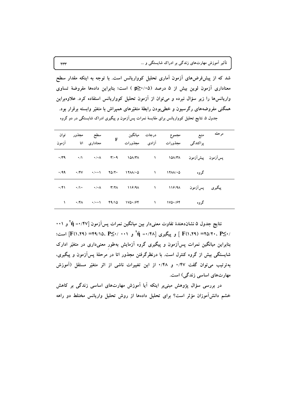شد که از پیشفرضهای آزمون آماری تحلیل کوواریانس است. با توجه به اینکه مقدار سطح معناداری آزمون لوین بیش از ۵ درصد (p≥۰/۰۵) است؛ بنابراین دادهها مفروضهٔ تساوی واریانسها را زیر سؤال نبرده و می توان از آزمون تحلیل کوواریانس استفاده کرد. علاوهبراین همگنی مفروضههای رگرسیون و خطیبودن رابطهٔ متغیّرهای همپراش با متغیّر وابسته برقرار بود. جدول ۵. نتایج تحلیل کوواریانس برای مقایسهٔ نمرات پسآزمون و پیگیری ادراک شایستگی در دو گروه

| توان | سطح مجذور<br>معناداری اتا  آزمون | $\mathbf{F}$ |                                                                                                                                                                                                                                                                                                           | منبع           مجموع             درجات     میانگین<br>پراکندگی       مجذورات         آزادی       مجذورات                                   |      | مر حله |  |
|------|----------------------------------|--------------|-----------------------------------------------------------------------------------------------------------------------------------------------------------------------------------------------------------------------------------------------------------------------------------------------------------|--------------------------------------------------------------------------------------------------------------------------------------------|------|--------|--|
|      |                                  |              |                                                                                                                                                                                                                                                                                                           |                                                                                                                                            |      |        |  |
|      |                                  |              |                                                                                                                                                                                                                                                                                                           | $\cdot$ /99 $\cdot$ /4V $\cdot$ / $\cdot$ 1 $\cdot$ 10/ $\cdot$ 11/ $\wedge$ / $\cdot$ 0 11/ $\wedge$ / $\cdot$ 0 11/ $\wedge$ / $\cdot$ 0 | گروه |        |  |
|      |                                  |              |                                                                                                                                                                                                                                                                                                           | پیگیری پس[زمون ۱۱۶/۹۸ ۱ ۸/۰۸ ۳/۲۸ ۲/۲۸ ۰/۱۰ ۰/۰۸ ۱۶/۹۸                                                                                     |      |        |  |
|      |                                  |              | 1 $\sqrt{5}A$ $\sqrt{1}A$ $\sqrt{1}A$ $\sqrt{2}A$ $\sqrt{2}A$ $\sqrt{2}A$ $\sqrt{2}A$ $\sqrt{2}A$ $\sqrt{2}A$ $\sqrt{2}A$ $\sqrt{2}A$ $\sqrt{2}A$ $\sqrt{2}A$ $\sqrt{2}A$ $\sqrt{2}A$ $\sqrt{2}A$ $\sqrt{2}A$ $\sqrt{2}A$ $\sqrt{2}A$ $\sqrt{2}A$ $\sqrt{2}A$ $\sqrt{2}A$ $\sqrt{2}A$ $\sqrt{2}A$ $\sqrt$ |                                                                                                                                            | گروه |        |  |

نتايج جدول ۵ نشاندهندهٔ تفاوت معنىدار بين ميانگين نمرات پسآزمون [۴۷/٠= tٌ] و ۰،۱ /۲-E(۱،۲۹) = ۳۵/۲۰، PS ] و پیگیری [۴۸/۰۰ ] jí و ۴۰٬۴۸] .(۲۹/۱۵، ۴۹/۱۵) [F(۱،۲۹) است؛ بنابراین میانگین نمرات پسآزمون و پیگیری گروه آزمایش بهطور معنیداری در متغیّر ادارک شایستگی بیش از گروه کنترل است. با درنظرگرفتن مجذور اتا در مرحلهٔ پسآزمون و پیگیری، بهترتیب میتوان گفت ۰/۴۷ و ۰/۴۸ از این تغییرات ناشی از اثر متغیّر مستقل (آموزش مهارتهای اساسی زندگی) است.

در بررسی سؤال پژوهش مبنیبر اینکه آیا آموزش مهارتهای اساسی زندگی بر کاهش خشم دانشآموزان مؤثر است؟ برای تحلیل دادهها از روش تحلیل واریانس مختلط دو راهه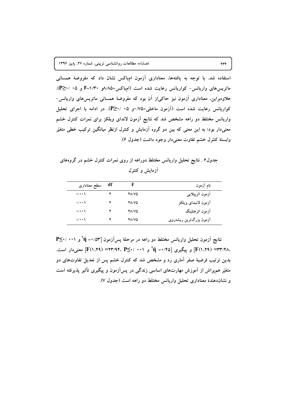استفاده شد. با توجه به یافتهها، معناداری آزمون امباکس نشان داد که مفروضهٔ همسانی ماتریسهای واریانس- کواریانس رعایت شده است (امباکس=۱/۳۸۵و ۴=۱/۳۰ و ۰۵ /<P≥. علاوهبراین، معناداری آزمون نیز حاکمیاز آن بود که مفروضهٔ همسانی ماتریسهای واریانس-کواریانس رعایت شده است (آزمون ماخلی=۷۵/۰و ۰۵ /۲۰≤P). در ادامه با اجرای تحلیل واریانس مختلط دو راهه مشخص شد که نتایج آزمون لاندای ویلکز برای نمرات کنترل خشم معنیدار بود؛ به این معنی که بین دو گروه آزمایش و کنترل ازنظر میانگین ترکیب خطی متغیّر وابستهٔ کنترل خشم تفاوت معنی دار وجود داشت (جدول ۶).

جدول۶ . نتایج تحلیل واریانس مختلط دوراهه از روی نمرات کنترل خشم در گروههای آزمایش و کنترل

| سطح معنادارى       | df | F            | نام أزمون               |
|--------------------|----|--------------|-------------------------|
| $\cdot/\cdot\cdot$ |    | 78/70        | آزمون اثرپیلای <i>ی</i> |
| $\cdot/\cdot\cdot$ |    | 78/70        | أزمون لامبداى ويلكز     |
| $\cdot/\cdot\cdot$ |    | <b>YA/VQ</b> | آزمون اثرهتلينگ         |
| $\cdot$ / $\cdot$  |    | 78/70        | آزمون بزرگترین ریشهروی  |

 $P \leq \cdot / \cdot \cdot$ نتایج آزمون تحلیل واریانس مختلط دو راهه در مرحلهٔ پسآزمون M =  $\gamma$  =  $\gamma$  و ۰۰۱ ، F(۱،۲۹) = ۳۳/۴۸ و پیگیری [۲۵/ ۰۴ = ۲۴ و ۲۰۰۱ /۲۴۷+ (۲۹، ۲۳/۹۴) معنی دار است. بدین ترتیب فرضیهٔ صفر آماری رد و مشخص شد که کنترل خشم پس از تعدیل تفاوتهای دو متغیّر همپراش از آموزش مهارتهای اساسی زندگی در پسآزمون و پیگیری تأثیر پذیرفته است و نشاندهندهٔ معناداری تحلیل واریانس مختلط دو راهه است (جدول ۷).

٢٣۴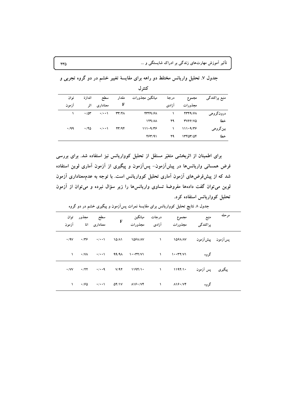|             | كنتر ل      |                   |                                   |                      |       |                |               |  |  |  |
|-------------|-------------|-------------------|-----------------------------------|----------------------|-------|----------------|---------------|--|--|--|
| توان        | اندازة      | سطح               | مقدار                             | ميانگين مجذورات      | درجة  | مجموع          | منبع پراکندگی |  |  |  |
| از مو ن     | اثر         | معنادارى          | F                                 |                      | آزادى | مجذورات        |               |  |  |  |
|             | .704        | $\cdot$ / $\cdot$ | $\mathbf{r}\mathbf{r}/\mathbf{r}$ | 4449/61              |       | 4449/61        | درونگروهي     |  |  |  |
|             |             |                   |                                   | $179/\lambda\lambda$ | 29    | <b>TV99/VQ</b> | خطا           |  |  |  |
| $\cdot$ /99 | $\cdot$ /۴۵ | $\cdot$ / $\cdot$ | YY/9F                             | 111.9/Tf             |       | 111.9/Tf       | بينگروهي      |  |  |  |
|             |             |                   |                                   | 484/91               | ۲۹    | 13407/04       | خطا           |  |  |  |

جدول ۷. تحلیل واریانس مختلط دو راهه برای مقایسهٔ تغییر خشم در دو گروه تجربی و

برای اطمینان از اثربخشی متغیّر مستقل از تحلیل کوواریانس نیز استفاده شد. برای بررسی فرض همسانی واریانسرها در پیشآزمون– پسآزمون و پیگیری از آزمون آماری لوین استفاده شد که از پیشفرضهای آزمون آماری تحلیل کوواریانس است. با توجه به عدممعناداری آزمون لوین می توان گفت دادهها مفروضهٔ تساوی واریانسها را زیر سؤال نبرده و می توان از آزمون تحلیل کوواریانس استفاده کرد.

| مر حله |      | منبع                                   درجات      ميانگين<br>پراکندگی           مجذورات                           آزادی           مجذورات                                                                                                                                                                 |  | F | سطح مجذور توان<br>معناداری اتا آزمون |  |
|--------|------|-----------------------------------------------------------------------------------------------------------------------------------------------------------------------------------------------------------------------------------------------------------------------------------------------------------|--|---|--------------------------------------|--|
|        |      | پس]زمون پیش]زمون ۱۵۶۸/A۷ ۱۰ ۱۵۶۸/A۷ ۱۵۶۸/A۷ ۰/۹۷ ۰/۹۷ ۰/۹۷                                                                                                                                                                                                                                                |  |   |                                      |  |
|        | گروه | $1 \t3/1$ $(1/\sqrt{11})$ $(1/\sqrt{11})$ $(1/\sqrt{11})$ $(1/\sqrt{11})$ $(1/\sqrt{11})$ $(1/\sqrt{11})$ $(1/\sqrt{11})$                                                                                                                                                                                 |  |   |                                      |  |
|        |      | پیگیری پس آزمون ۱۹۴/۱۰ - ۱۰/۹۴/۱۰ - ۷/۹۲ - ۰/۷۷ - ۰/۲۲ - ۰/۰۰۹ - ۰/۷۷                                                                                                                                                                                                                                     |  |   |                                      |  |
|        | گروه | 1 $\sqrt{2}$ $\sqrt{11}$ $\sqrt{2}$ $\sqrt{11}$ $\sqrt{2}$ $\sqrt{11}$ $\sqrt{11}$ $\sqrt{11}$ $\sqrt{11}$ $\sqrt{11}$ $\sqrt{11}$ $\sqrt{11}$ $\sqrt{11}$ $\sqrt{11}$ $\sqrt{11}$ $\sqrt{11}$ $\sqrt{11}$ $\sqrt{11}$ $\sqrt{11}$ $\sqrt{11}$ $\sqrt{11}$ $\sqrt{11}$ $\sqrt{11}$ $\sqrt{11}$ $\sqrt{11$ |  |   |                                      |  |

جدول ۸ نتایج تحلیل کوواریانس برای مقایسهٔ نمرات پسآزمون و پیگیری خشم در دو گروه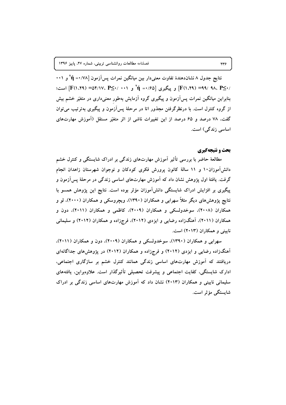نتایج جدول ۸ نشاندهندهٔ تفاوت معنیدار بین میانگین نمرات پسآزمون [۰۰/ **۱ ۴** آ /•≥F(۱،۲۹) =(۹۹/ ۹۸، P)] و پیگیری [۵۶/۱= γٌ و ۰۰۱ /•≥F(۱،۲۹) =۵۴/۱۷، P)] است؛ بنابراین میانگین نمرات پسآزمون و پیگیری گروه آزمایش بهطور معنیداری در متغیّر خشم بیش از گروه کنترل است. با درنظرگرفتن مجذور اتا در مرحلهٔ پسآزمون و پیگیری بهترتیب می توان گفت، ۷۸ درصد و ۶۵ درصد از این تغییرات ناشی از اثر متغیّر مستقل (آموزش مهارتهای اساسی زندگی) است.

### بحث و نتیجهگیری

مطالعهٔ حاضر با بررسی تأثیر آموزش مهارتهای زندگی بر ادراک شایستگی و کنترل خشم دانش آموزان ۱۰ و ۱۱ سالهٔ کانون پرورش فکری کودکان و نوجوان شهرستان زاهدان انجام گرفت. یافتهٔ اول پژوهش نشان داد که آموزش مهارتهای اساسی زندگی در مرحلهٔ پس[زمون و پیگیری بر افزایش ادراک شایستگی دانش آموزان مؤثر بوده است. نتایج این پژوهش همسو با نتایج پژوهشهای دیگر مثلاً سهرابی و همکاران (۱۳۹۰)، ویچروسکی و همکاران (۲۰۰۰)، لو و همکاران (۲۰۰۸)، سوخدولسکی و همکاران (۲۰۰۹)، کاظمی و همکاران (۲۰۱۱)، دون و همکاران (۲۰۱۱)، آهنگزاده رضایی و ایزدی (۲۰۱۲)، فرجزاده و همکاران (۲۰۱۲) و سلیمانی ناستی و همکاران (۲۰۱۳) است.

سهرابی و همکاران (۱۳۹۰)، سوخدولسکی و همکاران (۲۰۰۹)، دون و همکاران (۲۰۱۱)، آهنگزاده رضایی و ایزدی (۲۰۱۲) و فرجزاده و همکاران (۲۰۱۲) در پژوهشهای جداگانهای دریافتند که آموزش مهارتهای اساسی زندگی همانند کنترل خشم بر سازگاری اجتماعی، ادارک شاپستگی، کفایت اجتماعی و پیشرفت تحصیلی تأثیرگذار است. علاوهبراین، یافتههای سلیمانی نایینی و همکاران (۲۰۱۳) نشان داد که آموزش مهارتهای اساسی زندگی بر ادراک شابستگے مؤثر است.

۲۳۶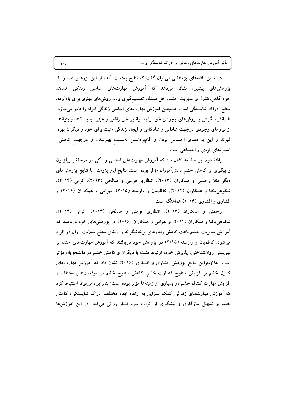تأثیر آموزش مهارتهای زندگی بر ادراک شایستگی و …

در تبیین یافتههای پژوهشی میتوان گفت که نتایج بهدست آمده از این پژوهش همسو با پژوهشرهای پیشین، نشان میدهد که آموزش مهارتهای اساسی زندگی همانند خودآگاهی،کنترل و مدیریت خشم، حل مسئله، تصمیمگیری و… روشهای بهتری برای بالابردن سطح ادراک شایستگی است. همچنین آموزش مهارتهای اساسی زندگی افراد را قادر میسازد تا دانش، نگرش و ارزشهای وجودی خود را به تواناییهای واقعی و عینی تبدیل کنند و بتوانند از نیروهای وجودی درجهت شادابی و شادکامی و ایجاد زندگی مثبت برای خود و دیگران بهره گیرند و این به معنای احساس بودن و گامبرداشتن بهسمت بهترشدن و درجهت کاهش آسیبهای فردی و اجتماعی است.

یافتهٔ دوم این مطالعه نشان داد که آموزش مهارتهای اساسی زندگی در مرحلهٔ پسآزمون و پیگیری بر کاهش خشم دانشآموزان مؤثر بوده است. نتایج این پژوهش با نتایج پژوهشهای دیگر مثلاً رحمتی و همکاران (۲۰۱۳)، انتظاری فومنی و صالحی (۲۰۱۳)، کرمی (۲۰۱۴). شکوهی یکتا و همکاران (۲۰۱۴)، کاظمیان و وارسته (۲۰۱۵)، بهرامی و همکاران (۲۰۱۶) و افشاری و افشاری (۲۰۱۶) هماهنگ است.

رحمتی و همکاران (۲۰۱۳)، انتظاری فومنی و صالحی (۲۰۱۳)، کرمی (۲۰۱۴)، شکوهی یکتا و همکاران (۲۰۱۴) و بهرامی و همکاران (۲۰۱۶) در پژوهشهای خود دریافتند که آموزش مدیریت خشم باعث کاهش رفتارهای پرخاشگرانه و ارتقای سطح سلامت روان در افراد میشود. کاظمیان و وارسته (۲۰۱۵) در پژوهش خود دریافتند که آموزش مهارتهای خشم بر بهزیستی روانشناختی، پذیرش خود، ارتباط مثبت با دیگران و کاهش خشم در دانشجویان مؤثر است. علاوهبراین نتایج پژوهش افشاری و افشاری (۲۰۱۶) نشان داد که آموزش مهارتهای کنترل خشم بر افزایش سطوح قضاوت خشم، کاهش سطوح خشم در موقعیتهای مختلف و افزایش مهارت کنترل خشم در بسیاری از زمینهها مؤثر بوده است؛ بنابراین، می توان استنباط کرد که آموزش مهارتهای زندگی کمک بسزایی به ارتقاء ابعاد مختلف ادراک شایستگی، کاهش خشم و تسهیل سازگاری و پیشگیری از اثرات سوء فشار روانی میکند. در این آموزشها

 $\tau\tau\gamma$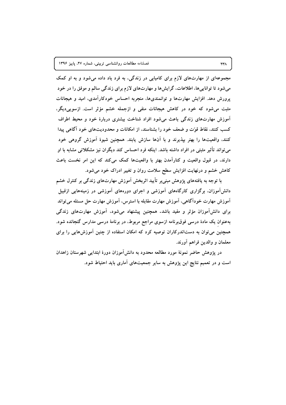مجموعهای از مهارتهای لازم برای کامیابی در زندگی، به فرد یاد داده میشود و به او کمک میشود تا تواناییها، اطلاعات، گرایشها و مهارتهای لازم برای زندگی سالم و موفق را در خود پرورش دهد. افزایش مهارتها و توانمندیها، منجربه احساس خودکارآمدی، امید و هیجانات مثبت میشود که خود در کاهش هیجانات منفی و ازجمله خشم مؤثر است. ازسوییدیگر، آموزش مهارتهای زندگی باعث می شود افراد شناخت بیشتری دربارهٔ خود و محیط اطراف کسب کنند، نقاط قوّت و ضعف خود را بشناسند، از امکانات و محدودیتهای خود آگاهی پیدا کنند، واقعیتها را بهتر بیذیرند و با آنها سازش پابند. همچنین شیوهٔ آموزش گروهی خود می تواند تأثیر مثبتی در افراد داشته باشد. اینکه فرد احساس کند دیگران نیز مشکلاتی مشابه با او دارند. در قبول واقعیت و کنارآمدن بهتر با واقعیتها کمک میکند که این امر نخست باعث کاهش خشم و درنهایت افزایش سطح سلامت روان و تغییر ادراک خود می شود.

با توجه به یافتههای پژوهش مبنیبر تأیید اثربخش آموزش مهارتهای زندگی بر کنترل خشم دانشآموزان، برگزاری کارگاههای آموزشی و اجرای دورههای آموزشی در زمینههایی ازقبیل آموزش مهارت خودآگاهی، آموزش مهارت مقابله با استرس، آموزش مهارت حل مسئله می¤تواند برای دانشآموزان مؤثر و مفید باشد. همچنین پیشنهاد میشود، آموزش مهارتهای زندگی بهعنوان یک مادهٔ درسی فوقبرنامه ازسوی مراجع مربوط، در برنامهٔ درسی مدارس گنجانده شود. همچنین می توان به دستاندرکاران توصیه کرد که امکان استفاده از چنین آموزشهایی را برای معلمان و والدين فراهم أورند.

در پژوهش حاضر نمونهٔ مورد مطالعه محدود به دانشآموزان دورهٔ ابتدایی شهرستان زاهدان است و در تعمیم نتایج این پژوهش به سایر جمعیتهای آماری باید احتیاط شود.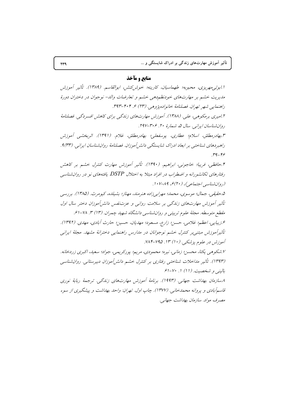## **منابع و مآخذ**

ا ابوئي مهريزي، محبوبه؛ طهماسيان، كارينه؛ خوش كنش، ابوالقاسم. (١٣٨٩). تأثير آموزش مديريت خشم بر مهارتهاي خودنظم دهي خشم و تعارضات والد- نوجوان در دختران دورهٔ راهنهايي شهر تهران. فصلنامهٔ خانواده یژوهبه (۲۳) ۶۰۴-۳۹۳. ۲.امیری برمکوهی، علی. (۱۳۸۸). آموزش مهارتهای زندگی برای کاهش افسردگی. فصلنامهٔ روان شناسان ایرانی. سال ۵، شمارهٔ ۲۰. ۳۰۶–۲۹۷. ۳.بهادرمطلق، اسلام؛ عطاری، یوسفعلی؛ بهادرمطلق، غلام. (۱۳۹۱). اثربخشی آموزش راهبردهای شناختی بر ابعاد ادراک شایستگی دانش آموزان. فصلنامهٔ روانشناسان ایرانی. (۹٬۳۳ .39-46 ۴.حافظی، فریبا؛ خاجونبی، ابراهیم. (۱۳۹۰). تأثیر آموزش مهارت کنترل خشم بر کاهش رفتارهای تکانشورانه و اضطراب در افراد مبتلا به اختلال DSTP یافتههای نو در روانشناسی (روان شناسی اجتماعی)، (۲۰) ع، ۸۹–۱۰۷. ۵.حقیقی، جمال؛ موسوی، محمد؛ مهرابیزاده هنرمند، مهناز؛ بشیلده، کیومرث. (۱۳۸۵). بررسی تأثیر آموزش مهارتهای زندگی بر سلامت روانی و عزتنفس دانش آموزان دختر سال اول مقطع متوسطه. مجلهٔ علوم تربیتی و روانشناسی دانشگاه شهید چمران. (۱۳) ۳. ۱⁄۸–۶۱. عرزيبايي، اعظم؛ غلامي، حسن؛ زارع، مسعود؛ مهديان، حسين؛ حارث أبادي، مهدي. (١٣٩٢). تأثيرآموزش مبتني بر كنترل خشم نوجوانان در مدارس راهنمايي دخترانهٔ مشهد. مجلهٔ ايراني آموزش در علوم پزشکی. (۱۰) ۱۳. ۲۹۵-۲۸۴. ۰٪ شکوهی یکتا، محسن؛ زمانی، نیره؛ محمودی، مریم؛ پورکریمی، جواد؛ سعید، اکبری زردخانه. (۱۳۹۳). تأثیر مداخلات شناختی رفتاری بر کنترل خشم دانش آموزان دبیرستانی. روانشناسی  $f(x-y, 1)$  بالينبي و شخصيت. (11) ١. ۸سازمان بهداشت جهانبي. (199۳). برنامهٔ آموزش مهارتهاي زندگي. ترجمهٔ ربابهٔ نوري قاسمآبادی و پروانه محمدخانی. (۱۳۷۷). چاپ اول. تهران: واحد بهداشت و پیشگیری از سوء مصرف مواد. سازمان بهداشت جهانبي.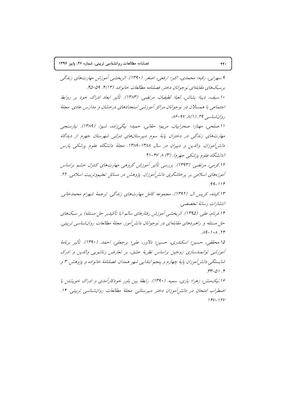۹.سهرايي، رقيه؛ محمدي، اکيږ؛ ارفعي، اصغر. (۱۳۹۰). اثرېخشپې آموزش مهارتهاي زناگچې برسبكهاي مقابلهاي نوجوانان دختر. فصلنامه مطالعات خانواده. (٢(١٣). ٥٩-٣٥. ۱۰ سيف، ديبا؛ بشاش، لعيا؛ لطيفيان، مرتضبي. (١٣٨٣). تأثير ابعاد ادراك خود بر روابط اجتماعی با همسالان در نوجوانان مراکز آموزشی استعدادهای درخشان و مدارس عادی. مجلهٔ روان شناسي ٢٩. (١) ٨٧-١۶. ا الصلحي، مهناز؛ صحرابيان، مريم؛ حقاني، حميد؛ بيگي زاده، شيوا. (١٣٨٩). نيازسنجي مهارتهای زندگی در دختران پایهٔ سوم دبیرستانهای دولتی شهرستان جهرم از دیدگاه دانش آموزان، واللدين و دبيران در سال ١٣٨٨-١٣٨٩. مجلةُ دانشگاه علوم پزشكى پارس (دانشگاه علوم پزشکی جهرم). (۳) ۶۷-۴۱ ۱۲.کرمی، مرتضی. (۱۳۹۳). بررسی تأثیر آموزش گروهی مهارتهای کنترل خشم براساس آموزههای اسلامی بر پرخاشگری دانش آموزان. پژوهش در مسائل تعلیموتربیت اسلامی. ۲۲.  $99 - 118$ ۱۳.کیته، کریس ال. (۱۳۹۲). مجموعه کامل مهارتهای زندگی. ترجمهٔ شهرام محمدخانی. انتشارات رسانهٔ تخصصی. ۱۴.فرنام، علیه. (۱۳۹۵). اثربخشبه آموزش رفتارهای سالیر (با تأکیدیر حل مسئله) بر سیکهای حل مسئله و راهبردهای مقابلهای در نوجوانان دانشرآموز. مجلهٔ مطالعات روانشناسی تربیتی.  $14-1.1$ ۱۵.محققی، حسین؛ اسکندری، حسین؛ دلاور، علی؛ برجعلی، احمد. (۱۳۹۰). تأثیر برنامهٔ آموزشی توانمندسازی زوجین براساس نظریهٔ عشق، بر تعارض زناشویی والدین و ادرک شايستگي دانش آموزان پايۀ چهارم و پنجم ابتدايي شهر همدان. فصلنامۀ خانواده و پژوهش. ٣ و  $rr-01.5$ ۱۶ نیک منش، زهرا؛ یاری، سمیه. (۱۳۹۰). رابطهٔ بین باور خودکارآمدی و ادراک خویشتن با

اضطراب امتحان در دانش آموزان دختر دبیرستانی. مجلهٔ مطالعات روان شناسی تربیتی. ۱۴.  $14V - 17V$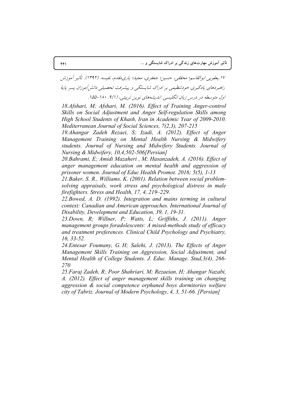١٧.يعقوبي ابوالقاسم؛ محققي، حسين؛ جعفري، مجيد؛ يارىمقدم، نفيسه. (١٣٩٢). تأثير آموزش راهبردهای یادگیری خودتنظیمی بر ادراک شایستگی و پیشرفت تحصیلی دانش آموزان پسر پایهٔ اول متوسطه در درس زبان انگلیسی. اندیشههای نوین تربیتی، (۹(۱). ۱۸۰–۱۵۵.

*18.Afshari, M; Afshari, M. (2016). Effect of Training Anger-control Skills on Social Adjustment and Anger Self-regulation Skills among High School Students of Khash, Iran in Academic Year of 2009-2010. Mediterranean Journal of Social Sciences, 7(2,3), 207-215* 

*19.Ahangar Zadeh Rezaei, S; Izadi, A. (2012). Effect of Anger Management Training on Mental Health Nursing & Midwifery students. Journal of Nursing and Midwifery Students. Journal of Nursing & Midwifery, 10,4,502-506[Persian]* 

*20.Bahrami, E; Amidi Mazaheri , M; Hasanzadeh, A. (2016). Effect of anger management education on mental health and aggression of prisoner women. Journal of Educ Health Promot. 2016; 5(5), 1-13* 

*21.Baker, S. R., Williams, K. (2001). Relation between social problemsolving appraisals, work stress and psychological distress in male firefighters. Stress and Health, 17, 4, 219–229.* 

*22.Bowed, A. D. (1992). Integration and mains terming in cultural context: Canadian and American approaches. International Journal of Disability, Development and Education, 39, 1, 19-31.* 

*23.Down, R; Willner, P; Watts, L; Griffiths, J. (2011). Anger management groups foradolescents: A mixed-methods study of efficacy and treatment preferences. Clinical Child Psychology and Psychiatry, 16, 33-52.* 

*24.Entesar Foumany, G. H; Salehi, J. (2013). The Effects of Anger Management Skills Training on Aggression, Social Adjustment, and Mental Health of College Students. J. Educ. Manage. Stud,3(4), 266- 270* 

*25.Faraj Zadeh, R; Poor Shahriari, M; Rezaeian, H; Ahangar Nazabi, A. (2012). Effect of anger management skills training on changing aggression & social competence orphaned boys dormitories welfare city of Tabriz. Journal of Modern Psychology, 4, 3, 51-66. [Persian]*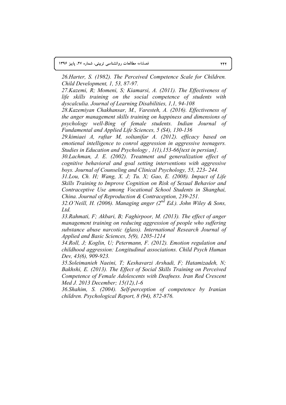۰ مطالعات روانشناسی تربیتی، شماره ۲۷، پاییز ۱۳۹۶ **145 میں استعمال اور استعمال اور استعمال اور استعمال اور استعمال اور استعمال اور استعمال اور استعمال اور استعما**ل<br>استعمال العالم العالم العالم العالم العالم العالم العالم العالم العالم العالم العالم العالم العالم العالم ا

*26.Harter, S. (1982). The Perceived Competence Scale for Children. Child Development, 1, 53, 87-97.* 

*27.Kazemi, R; Momeni, S; Kiamarsi, A. (2011). The Effectiveness of life skills training on the social competence of students with dyscalculia. Journal of Learning Disabilities, 1,1, 94-108* 

*28.Kazemiyan Chakhansar, M., Varesteh, A. (2016). Effectiveness of the anger management skills training on happiness and dimensions of psychology well-Bing of female students. Indian Journal of Fundamental and Applied Life Sciences, 5 (S4), 130-136* 

*29.kimiaei A, raftar M, soltanifar A. (2012). efficacy based on emotienal intelligence to conrol aggression in aggressive teenagers. Studies in Education and Psychology , 1(1),153-66[text in persian].* 

*30.Lachman, J. E. (2002). Treatment and generalization effect of cognitive behavioral and goal setting interventions with aggressive boys. Journal of Counseling and Clinical Psychology, 55, 223- 244.* 

*31.Lou, Ch. H; Wang, X. J; Tu. X; Gao, E. (2008). Impact of Life Skills Training to Improve Cognition on Risk of Sexual Behavior and Contraceptive Use among Vocational School Students in Shanghai, China. Journal of Reproduction & Contraception, 239-251.* 

*32.O'Neill, H. (2006). Managing anger (2nd Ed.). John Wiley & Sons, Ltd.* 

*33.Rahmati, F; Akbari, B; Faghirpoor, M. (2013). The effect of anger management training on reducing aggression of people who suffering substance abuse narcotic (glass). International Research Journal of Applied and Basic Sciences, 5(9), 1205-1214* 

*34.Roll, J; Koglin, U; Petermann, F. (2012). Emotion regulation and childhood aggression: Longitudinal associations. Child Psych Human Dev, 43(6), 909-923.* 

*35.Soleimanieh Naeini, T; Keshavarzi Arshadi, F; Hatamizadeh, N; Bakhshi, E. (2013). The Effect of Social Skills Training on Perceived Competence of Female Adolescents with Deafness. Iran Red Crescent Med J. 2013 December; 15(12),1-6* 

*36.Shahim, S. (2004). Self-perception of competence by Iranian children. Psychological Report, 8 (94), 872-876.*